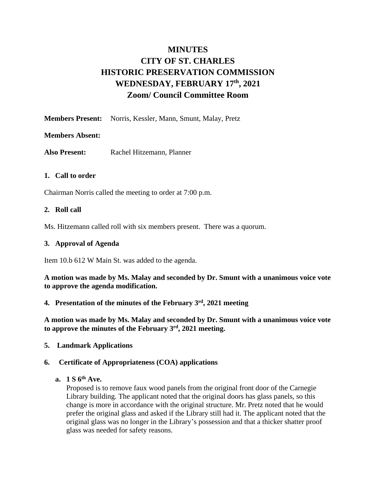# **MINUTES CITY OF ST. CHARLES HISTORIC PRESERVATION COMMISSION WEDNESDAY, FEBRUARY 17th, 2021 Zoom/ Council Committee Room**

**Members Present:** Norris, Kessler, Mann, Smunt, Malay, Pretz

# **Members Absent:**

Also Present: Rachel Hitzemann, Planner

# **1. Call to order**

Chairman Norris called the meeting to order at 7:00 p.m.

## **2. Roll call**

Ms. Hitzemann called roll with six members present. There was a quorum.

## **3. Approval of Agenda**

Item 10.b 612 W Main St. was added to the agenda.

**A motion was made by Ms. Malay and seconded by Dr. Smunt with a unanimous voice vote to approve the agenda modification.**

## **4. Presentation of the minutes of the February 3 rd , 2021 meeting**

**A motion was made by Ms. Malay and seconded by Dr. Smunt with a unanimous voice vote to approve the minutes of the February 3rd, 2021 meeting.**

## **5. Landmark Applications**

## **6. Certificate of Appropriateness (COA) applications**

# **a. 1 S 6th Ave.**

Proposed is to remove faux wood panels from the original front door of the Carnegie Library building. The applicant noted that the original doors has glass panels, so this change is more in accordance with the original structure. Mr. Pretz noted that he would prefer the original glass and asked if the Library still had it. The applicant noted that the original glass was no longer in the Library's possession and that a thicker shatter proof glass was needed for safety reasons.